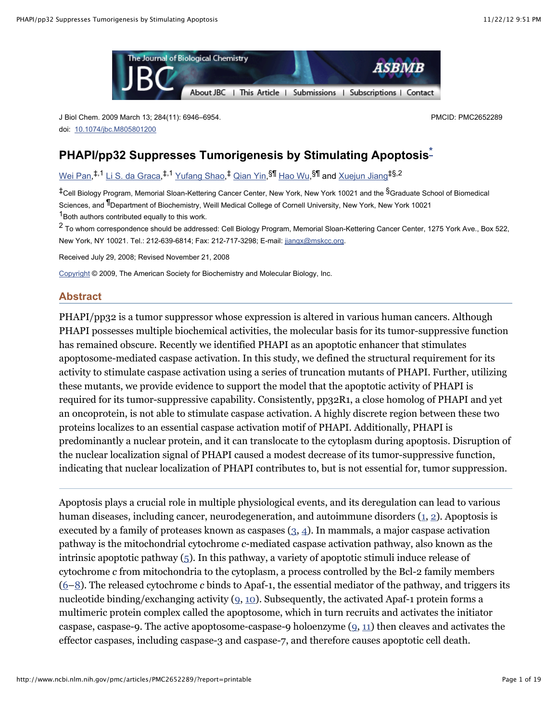

J Biol Chem. 2009 March 13; 284(11): 6946–6954. doi: [10.1074/jbc.M805801200](http://dx.crossref.org/10.1074%2Fjbc.M805801200)

PMCID: PMC2652289

# **PHAPI/pp32 Suppresses Tumorigenesis by Stimulating Apoptosis [\\*](http://www.ncbi.nlm.nih.gov/pmc/articles/PMC2652289/?report=printable#fn1)**

<u>[Wei Pan,](http://www.ncbi.nlm.nih.gov/sites/entrez?cmd=search&db=PubMed&term=%20Pan%20W%5Bauth%5D)5,1 [Li S. da Graca](http://www.ncbi.nlm.nih.gov/sites/entrez?cmd=search&db=PubMed&term=%20da%20Graca%20LS%5Bauth%5D),5,1 [Yufang Shao,](http://www.ncbi.nlm.nih.gov/sites/entrez?cmd=search&db=PubMed&term=%20Shao%20Y%5Bauth%5D)5 [Qian Yin](http://www.ncbi.nlm.nih.gov/sites/entrez?cmd=search&db=PubMed&term=%20Yin%20Q%5Bauth%5D),</u>\$¶ <u>[Hao Wu,](http://www.ncbi.nlm.nih.gov/sites/entrez?cmd=search&db=PubMed&term=%20Wu%20H%5Bauth%5D)</u>\$¶ and <u>[Xuejun Jiang](http://www.ncbi.nlm.nih.gov/sites/entrez?cmd=search&db=PubMed&term=%20Jiang%20X%5Bauth%5D)</u>‡\$,2

<sup>‡</sup>Cell Biology Program, Memorial Sloan-Kettering Cancer Center, New York, New York 10021 and the <sup>§</sup>Graduate School of Biomedical Sciences, and <sup>¶</sup>Department of Biochemistry, Weill Medical College of Cornell University, New York, New York 10021  $1$ Both authors contributed equally to this work.

<sup>2</sup> To whom correspondence should be addressed: Cell Biology Program, Memorial Sloan-Kettering Cancer Center, 1275 York Ave., Box 522, New York, NY 10021. Tel.: 212-639-6814; Fax: 212-717-3298; E-mail: [jiangx@mskcc.org.](mailto:jiangx@mskcc.org)

Received July 29, 2008; Revised November 21, 2008

[Copyright](http://www.ncbi.nlm.nih.gov/pmc/about/copyright.html) © 2009, The American Society for Biochemistry and Molecular Biology, Inc.

#### **Abstract**

PHAPI/pp32 is a tumor suppressor whose expression is altered in various human cancers. Although PHAPI possesses multiple biochemical activities, the molecular basis for its tumor-suppressive function has remained obscure. Recently we identified PHAPI as an apoptotic enhancer that stimulates apoptosome-mediated caspase activation. In this study, we defined the structural requirement for its activity to stimulate caspase activation using a series of truncation mutants of PHAPI. Further, utilizing these mutants, we provide evidence to support the model that the apoptotic activity of PHAPI is required for its tumor-suppressive capability. Consistently, pp32R1, a close homolog of PHAPI and yet an oncoprotein, is not able to stimulate caspase activation. A highly discrete region between these two proteins localizes to an essential caspase activation motif of PHAPI. Additionally, PHAPI is predominantly a nuclear protein, and it can translocate to the cytoplasm during apoptosis. Disruption of the nuclear localization signal of PHAPI caused a modest decrease of its tumor-suppressive function, indicating that nuclear localization of PHAPI contributes to, but is not essential for, tumor suppression.

Apoptosis plays a crucial role in multiple physiological events, and its deregulation can lead to various human diseases, including cancer, neurodegeneration, and autoimmune disorders [\(1](http://www.ncbi.nlm.nih.gov/pubmed/4561027), [2\)](http://www.ncbi.nlm.nih.gov/pubmed/10197583). Apoptosis is executed by a family of proteases known as caspases  $(3, 4)$  $(3, 4)$ . In mammals, a major caspase activation pathway is the mitochondrial cytochrome *c*-mediated caspase activation pathway, also known as the intrinsic apoptotic pathway  $(5)$  $(5)$ . In this pathway, a variety of apoptotic stimuli induce release of cytochrome *c* from mitochondria to the cytoplasm, a process controlled by the Bcl-2 family members [\(6–](http://www.ncbi.nlm.nih.gov/pubmed/9597135)[8\)](http://www.ncbi.nlm.nih.gov/pubmed/11165519). The released cytochrome *c* binds to Apaf-1, the essential mediator of the pathway, and triggers its nucleotide binding/exchanging activity  $(q, 10)$  $(q, 10)$ . Subsequently, the activated Apaf-1 protein forms a multimeric protein complex called the apoptosome, which in turn recruits and activates the initiator caspase, caspase-9. The active apoptosome-caspase-9 holoenzyme  $(9, 11)$  $(9, 11)$  $(9, 11)$  then cleaves and activates the effector caspases, including caspase-3 and caspase-7, and therefore causes apoptotic cell death.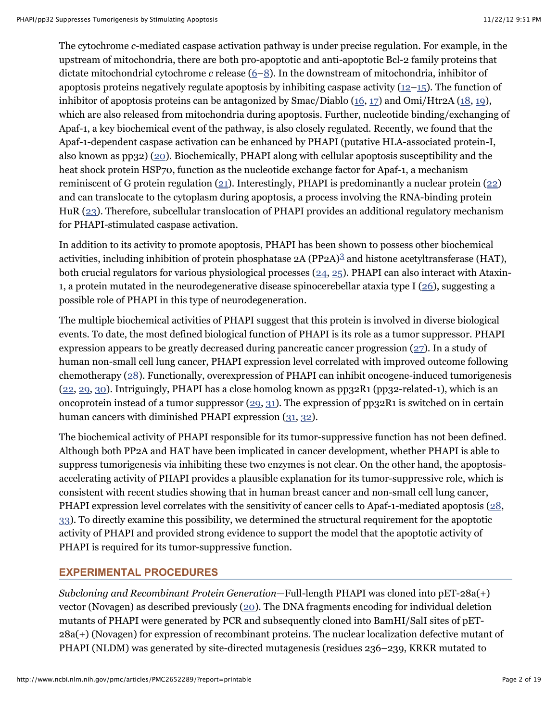The cytochrome *c*-mediated caspase activation pathway is under precise regulation. For example, in the upstream of mitochondria, there are both pro-apoptotic and anti-apoptotic Bcl-2 family proteins that dictate mitochondrial cytochrome *c* release [\(6–](http://www.ncbi.nlm.nih.gov/pubmed/9597135)[8\)](http://www.ncbi.nlm.nih.gov/pubmed/11165519). In the downstream of mitochondria, inhibitor of apoptosis proteins negatively regulate apoptosis by inhibiting caspase activity  $(12-15)$  $(12-15)$ . The function of inhibitor of apoptosis proteins can be antagonized by  $\text{Smac}/\text{Diablo}$  [\(16,](http://www.ncbi.nlm.nih.gov/pubmed/10929711) [17\)](http://www.ncbi.nlm.nih.gov/pubmed/10929712) and  $\text{Omi}/\text{Htr2A}$  [\(18,](http://www.ncbi.nlm.nih.gov/pubmed/11583623) [19\)](http://www.ncbi.nlm.nih.gov/pubmed/11604410), which are also released from mitochondria during apoptosis. Further, nucleotide binding/exchanging of Apaf-1, a key biochemical event of the pathway, is also closely regulated. Recently, we found that the Apaf-1-dependent caspase activation can be enhanced by PHAPI (putative HLA-associated protein-I, also known as pp32) [\(20\)](http://www.ncbi.nlm.nih.gov/pubmed/12522243). Biochemically, PHAPI along with cellular apoptosis susceptibility and the heat shock protein HSP70, function as the nucleotide exchange factor for Apaf-1, a mechanism reminiscent of G protein regulation [\(21\)](http://www.ncbi.nlm.nih.gov/pubmed/18439902). Interestingly, PHAPI is predominantly a nuclear protein [\(22](http://www.ncbi.nlm.nih.gov/pubmed/8970164)) and can translocate to the cytoplasm during apoptosis, a process involving the RNA-binding protein HuR [\(23\)](http://www.ncbi.nlm.nih.gov/pubmed/18180367). Therefore, subcellular translocation of PHAPI provides an additional regulatory mechanism for PHAPI-stimulated caspase activation.

In addition to its activity to promote apoptosis, PHAPI has been shown to possess other biochemical activities, including inhibition of protein phosphatase 2A (PP2A)<sup>[3](http://www.ncbi.nlm.nih.gov/pmc/articles/PMC2652289/?report=printable#fn3)</sup> and histone acetyltransferase (HAT), both crucial regulators for various physiological processes  $(24, 25)$  $(24, 25)$ . PHAPI can also interact with Ataxin-1, a protein mutated in the neurodegenerative disease spinocerebellar ataxia type I [\(26\)](http://www.ncbi.nlm.nih.gov/pubmed/9353121), suggesting a possible role of PHAPI in this type of neurodegeneration.

The multiple biochemical activities of PHAPI suggest that this protein is involved in diverse biological events. To date, the most defined biological function of PHAPI is its role as a tumor suppressor. PHAPI expression appears to be greatly decreased during pancreatic cancer progression  $(27)$  $(27)$ . In a study of human non-small cell lung cancer, PHAPI expression level correlated with improved outcome following chemotherapy ([28\)](http://www.ncbi.nlm.nih.gov/pubmed/17962813). Functionally, overexpression of PHAPI can inhibit oncogene-induced tumorigenesis [\(22,](http://www.ncbi.nlm.nih.gov/pubmed/8970164) [29,](http://www.ncbi.nlm.nih.gov/pubmed/10400610) [30\)](http://www.ncbi.nlm.nih.gov/pubmed/11360199). Intriguingly, PHAPI has a close homolog known as pp32R1 (pp32-related-1), which is an oncoprotein instead of a tumor suppressor  $(29, 31)$  $(29, 31)$  $(29, 31)$  $(29, 31)$ . The expression of pp32R1 is switched on in certain human cancers with diminished PHAPI expression ([31,](http://www.ncbi.nlm.nih.gov/pubmed/10086381) [32\)](http://www.ncbi.nlm.nih.gov/pubmed/11678310).

The biochemical activity of PHAPI responsible for its tumor-suppressive function has not been defined. Although both PP2A and HAT have been implicated in cancer development, whether PHAPI is able to suppress tumorigenesis via inhibiting these two enzymes is not clear. On the other hand, the apoptosisaccelerating activity of PHAPI provides a plausible explanation for its tumor-suppressive role, which is consistent with recent studies showing that in human breast cancer and non-small cell lung cancer, PHAPI expression level correlates with the sensitivity of cancer cells to Apaf-1-mediated apoptosis [\(28,](http://www.ncbi.nlm.nih.gov/pubmed/17962813) [33\)](http://www.ncbi.nlm.nih.gov/pubmed/16489023). To directly examine this possibility, we determined the structural requirement for the apoptotic activity of PHAPI and provided strong evidence to support the model that the apoptotic activity of PHAPI is required for its tumor-suppressive function.

# **EXPERIMENTAL PROCEDURES**

*Subcloning and Recombinant Protein Generation*—Full-length PHAPI was cloned into pET-28a(+) vector (Novagen) as described previously [\(20\)](http://www.ncbi.nlm.nih.gov/pubmed/12522243). The DNA fragments encoding for individual deletion mutants of PHAPI were generated by PCR and subsequently cloned into BamHI/SalI sites of pET-28a(+) (Novagen) for expression of recombinant proteins. The nuclear localization defective mutant of PHAPI (NLDM) was generated by site-directed mutagenesis (residues 236–239, KRKR mutated to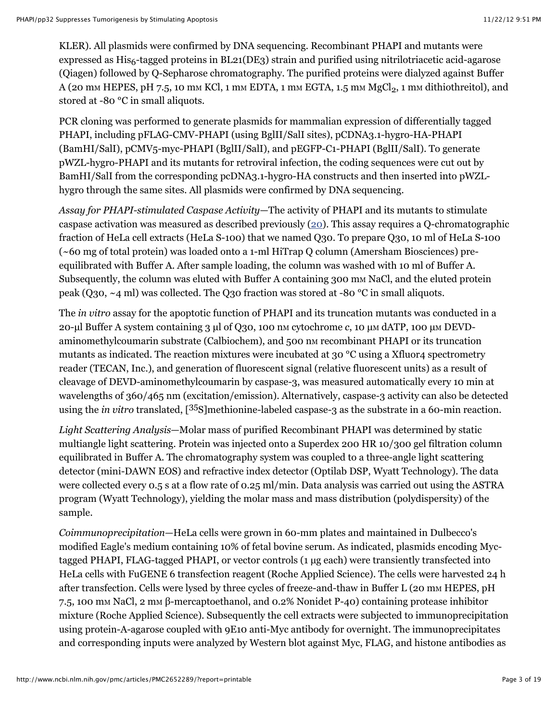KLER). All plasmids were confirmed by DNA sequencing. Recombinant PHAPI and mutants were  $\tt{expressed}$  as  $\rm{His}_6$ -tagged proteins in BL21(DE3) strain and purified using nitrilotriacetic acid-agarose (Qiagen) followed by Q-Sepharose chromatography. The purified proteins were dialyzed against Buffer A (20 mm HEPES, pH 7.5, 10 mm KCl, 1 mm EDTA, 1 mm EGTA, 1.5 mm  $\mathrm{MgCl}_2$ , 1 mm dithiothreitol), and stored at -80 °C in small aliquots.

PCR cloning was performed to generate plasmids for mammalian expression of differentially tagged PHAPI, including pFLAG-CMV-PHAPI (using BglII/SalI sites), pCDNA3.1-hygro-HA-PHAPI (BamHI/SalI), pCMV5-myc-PHAPI (BglII/SalI), and pEGFP-C1-PHAPI (BglII/SalI). To generate pWZL-hygro-PHAPI and its mutants for retroviral infection, the coding sequences were cut out by BamHI/SalI from the corresponding pcDNA3.1-hygro-HA constructs and then inserted into pWZLhygro through the same sites. All plasmids were confirmed by DNA sequencing.

*Assay for PHAPI-stimulated Caspase Activity*—The activity of PHAPI and its mutants to stimulate caspase activation was measured as described previously  $(20)$ . This assay requires a Q-chromatographic fraction of HeLa cell extracts (HeLa S-100) that we named Q30. To prepare Q30, 10 ml of HeLa S-100 (~60 mg of total protein) was loaded onto a 1-ml HiTrap Q column (Amersham Biosciences) preequilibrated with Buffer A. After sample loading, the column was washed with 10 ml of Buffer A. Subsequently, the column was eluted with Buffer A containing 300 mm NaCl, and the eluted protein peak (Q30,  $\sim$ 4 ml) was collected. The Q30 fraction was stored at -80 °C in small aliquots.

The *in vitro* assay for the apoptotic function of PHAPI and its truncation mutants was conducted in a 20-µl Buffer A system containing 3 µl of Q30, 100 nM cytochrome *c*, 10 µM dATP, 100 µM DEVDaminomethylcoumarin substrate (Calbiochem), and 500 nm recombinant PHAPI or its truncation mutants as indicated. The reaction mixtures were incubated at 30 °C using a Xfluor4 spectrometry reader (TECAN, Inc.), and generation of fluorescent signal (relative fluorescent units) as a result of cleavage of DEVD-aminomethylcoumarin by caspase-3, was measured automatically every 10 min at wavelengths of 360/465 nm (excitation/emission). Alternatively, caspase-3 activity can also be detected using the *in vitro* translated, [<sup>35</sup>S]methionine-labeled caspase-3 as the substrate in a 60-min reaction.

*Light Scattering Analysis*—Molar mass of purified Recombinant PHAPI was determined by static multiangle light scattering. Protein was injected onto a Superdex 200 HR 10/300 gel filtration column equilibrated in Buffer A. The chromatography system was coupled to a three-angle light scattering detector (mini-DAWN EOS) and refractive index detector (Optilab DSP, Wyatt Technology). The data were collected every 0.5 s at a flow rate of 0.25 ml/min. Data analysis was carried out using the ASTRA program (Wyatt Technology), yielding the molar mass and mass distribution (polydispersity) of the sample.

*Coimmunoprecipitation*—HeLa cells were grown in 60-mm plates and maintained in Dulbecco's modified Eagle's medium containing 10% of fetal bovine serum. As indicated, plasmids encoding Myctagged PHAPI, FLAG-tagged PHAPI, or vector controls (1 µg each) were transiently transfected into HeLa cells with FuGENE 6 transfection reagent (Roche Applied Science). The cells were harvested 24 h after transfection. Cells were lysed by three cycles of freeze-and-thaw in Buffer L (20 mm HEPES, pH 7.5, 100 mM NaCl, 2 mM β-mercaptoethanol, and 0.2% Nonidet P-40) containing protease inhibitor mixture (Roche Applied Science). Subsequently the cell extracts were subjected to immunoprecipitation using protein-A-agarose coupled with 9E10 anti-Myc antibody for overnight. The immunoprecipitates and corresponding inputs were analyzed by Western blot against Myc, FLAG, and histone antibodies as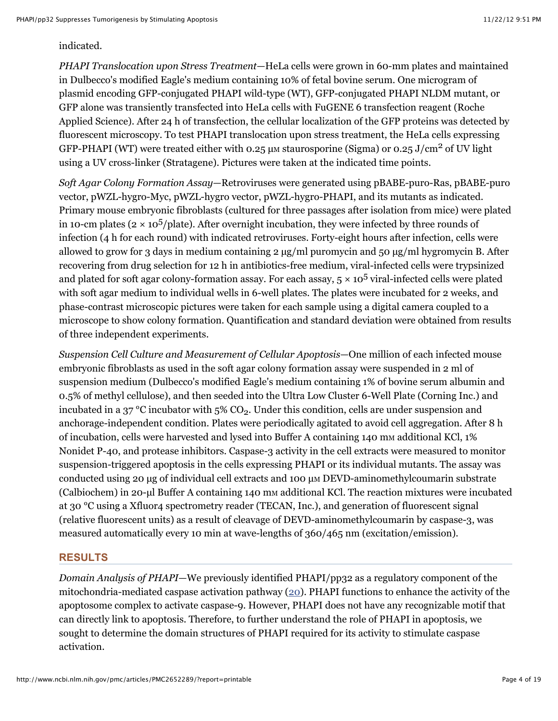### indicated.

*PHAPI Translocation upon Stress Treatment*—HeLa cells were grown in 60-mm plates and maintained in Dulbecco's modified Eagle's medium containing 10% of fetal bovine serum. One microgram of plasmid encoding GFP-conjugated PHAPI wild-type (WT), GFP-conjugated PHAPI NLDM mutant, or GFP alone was transiently transfected into HeLa cells with FuGENE 6 transfection reagent (Roche Applied Science). After 24 h of transfection, the cellular localization of the GFP proteins was detected by fluorescent microscopy. To test PHAPI translocation upon stress treatment, the HeLa cells expressing GFP-PHAPI (WT) were treated either with 0.25  $\mu$ m staurosporine (Sigma) or 0.25 J/cm<sup>2</sup> of UV light using a UV cross-linker (Stratagene). Pictures were taken at the indicated time points.

*Soft Agar Colony Formation Assay*—Retroviruses were generated using pBABE-puro-Ras, pBABE-puro vector, pWZL-hygro-Myc, pWZL-hygro vector, pWZL-hygro-PHAPI, and its mutants as indicated. Primary mouse embryonic fibroblasts (cultured for three passages after isolation from mice) were plated in 10-cm plates ( $2 \times 10^5$ ) plate). After overnight incubation, they were infected by three rounds of infection (4 h for each round) with indicated retroviruses. Forty-eight hours after infection, cells were allowed to grow for 3 days in medium containing  $2 \mu g/ml$  puromycin and  $50 \mu g/ml$  hygromycin B. After recovering from drug selection for 12 h in antibiotics-free medium, viral-infected cells were trypsinized and plated for soft agar colony-formation assay. For each assay,  $5 \times 10^5$  viral-infected cells were plated with soft agar medium to individual wells in 6-well plates. The plates were incubated for 2 weeks, and phase-contrast microscopic pictures were taken for each sample using a digital camera coupled to a microscope to show colony formation. Quantification and standard deviation were obtained from results of three independent experiments.

*Suspension Cell Culture and Measurement of Cellular Apoptosis*—One million of each infected mouse embryonic fibroblasts as used in the soft agar colony formation assay were suspended in 2 ml of suspension medium (Dulbecco's modified Eagle's medium containing 1% of bovine serum albumin and 0.5% of methyl cellulose), and then seeded into the Ultra Low Cluster 6-Well Plate (Corning Inc.) and incubated in a 37 °C incubator with 5% CO<sub>2</sub>. Under this condition, cells are under suspension and anchorage-independent condition. Plates were periodically agitated to avoid cell aggregation. After 8 h of incubation, cells were harvested and lysed into Buffer A containing 140 mm additional KCl, 1% Nonidet P-40, and protease inhibitors. Caspase-3 activity in the cell extracts were measured to monitor suspension-triggered apoptosis in the cells expressing PHAPI or its individual mutants. The assay was conducted using 20  $\mu$ g of individual cell extracts and 100  $\mu$ M DEVD-aminomethylcoumarin substrate (Calbiochem) in 20-µl Buffer A containing 140 mm additional KCl. The reaction mixtures were incubated at 30 °C using a Xfluor4 spectrometry reader (TECAN, Inc.), and generation of fluorescent signal (relative fluorescent units) as a result of cleavage of DEVD-aminomethylcoumarin by caspase-3, was measured automatically every 10 min at wave-lengths of 360/465 nm (excitation/emission).

# **RESULTS**

*Domain Analysis of PHAPI*—We previously identified PHAPI/pp32 as a regulatory component of the mitochondria-mediated caspase activation pathway ( $20$ ). PHAPI functions to enhance the activity of the apoptosome complex to activate caspase-9. However, PHAPI does not have any recognizable motif that can directly link to apoptosis. Therefore, to further understand the role of PHAPI in apoptosis, we sought to determine the domain structures of PHAPI required for its activity to stimulate caspase activation.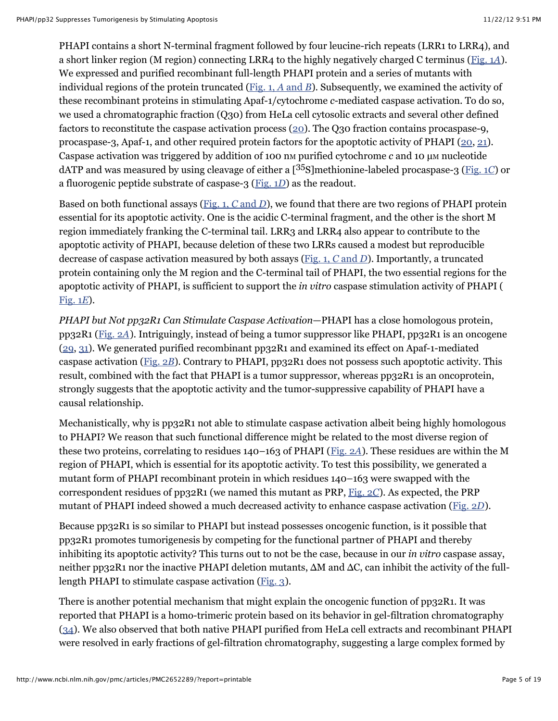PHAPI contains a short N-terminal fragment followed by four leucine-rich repeats (LRR1 to LRR4), and a short linker region (M region) connecting LRR4 to the highly negatively charged C terminus ([Fig. 1](http://www.ncbi.nlm.nih.gov/pmc/articles/PMC2652289/figure/fig1/)*A*). We expressed and purified recombinant full-length PHAPI protein and a series of mutants with individual regions of the protein truncated ([Fig. 1,](http://www.ncbi.nlm.nih.gov/pmc/articles/PMC2652289/figure/fig1/) *A* and *B*). Subsequently, we examined the activity of these recombinant proteins in stimulating Apaf-1/cytochrome *c*-mediated caspase activation. To do so, we used a chromatographic fraction (Q30) from HeLa cell cytosolic extracts and several other defined factors to reconstitute the caspase activation process [\(20\)](http://www.ncbi.nlm.nih.gov/pubmed/12522243). The Q30 fraction contains procaspase-9, procaspase-3, Apaf-1, and other required protein factors for the apoptotic activity of PHAPI [\(20,](http://www.ncbi.nlm.nih.gov/pubmed/12522243) [21\)](http://www.ncbi.nlm.nih.gov/pubmed/18439902). Caspase activation was triggered by addition of 100 nm purified cytochrome *c* and 10 µm nucleotide dATP and was measured by using cleavage of either a [<sup>35</sup>S]methionine-labeled procaspase-3 [\(Fig. 1](http://www.ncbi.nlm.nih.gov/pmc/articles/PMC2652289/figure/fig1/)*C*) or a fluorogenic peptide substrate of caspase-3 ([Fig. 1](http://www.ncbi.nlm.nih.gov/pmc/articles/PMC2652289/figure/fig1/)*D*) as the readout.

Based on both functional assays [\(Fig. 1,](http://www.ncbi.nlm.nih.gov/pmc/articles/PMC2652289/figure/fig1/) *C* and *D*), we found that there are two regions of PHAPI protein essential for its apoptotic activity. One is the acidic C-terminal fragment, and the other is the short M region immediately franking the C-terminal tail. LRR3 and LRR4 also appear to contribute to the apoptotic activity of PHAPI, because deletion of these two LRRs caused a modest but reproducible decrease of caspase activation measured by both assays [\(Fig. 1,](http://www.ncbi.nlm.nih.gov/pmc/articles/PMC2652289/figure/fig1/) *C* and *D*). Importantly, a truncated protein containing only the M region and the C-terminal tail of PHAPI, the two essential regions for the apoptotic activity of PHAPI, is sufficient to support the *in vitro* caspase stimulation activity of PHAPI ( [Fig. 1](http://www.ncbi.nlm.nih.gov/pmc/articles/PMC2652289/figure/fig1/)*E*).

*PHAPI but Not pp32R1 Can Stimulate Caspase Activation*—PHAPI has a close homologous protein, pp32R1 [\(Fig. 2](http://www.ncbi.nlm.nih.gov/pmc/articles/PMC2652289/figure/fig2/)*A*). Intriguingly, instead of being a tumor suppressor like PHAPI, pp32R1 is an oncogene  $(29, 31)$  $(29, 31)$  $(29, 31)$ . We generated purified recombinant pp32R1 and examined its effect on Apaf-1-mediated caspase activation ([Fig. 2](http://www.ncbi.nlm.nih.gov/pmc/articles/PMC2652289/figure/fig2/)*B*). Contrary to PHAPI, pp32R1 does not possess such apoptotic activity. This result, combined with the fact that PHAPI is a tumor suppressor, whereas pp32R1 is an oncoprotein, strongly suggests that the apoptotic activity and the tumor-suppressive capability of PHAPI have a causal relationship.

Mechanistically, why is pp32R1 not able to stimulate caspase activation albeit being highly homologous to PHAPI? We reason that such functional difference might be related to the most diverse region of these two proteins, correlating to residues 140–163 of PHAPI ([Fig. 2](http://www.ncbi.nlm.nih.gov/pmc/articles/PMC2652289/figure/fig2/)*A*). These residues are within the M region of PHAPI, which is essential for its apoptotic activity. To test this possibility, we generated a mutant form of PHAPI recombinant protein in which residues 140–163 were swapped with the correspondent residues of pp32R1 (we named this mutant as PRP, [Fig. 2](http://www.ncbi.nlm.nih.gov/pmc/articles/PMC2652289/figure/fig2/)*C*). As expected, the PRP mutant of PHAPI indeed showed a much decreased activity to enhance caspase activation ([Fig. 2](http://www.ncbi.nlm.nih.gov/pmc/articles/PMC2652289/figure/fig2/)*D*).

Because pp32R1 is so similar to PHAPI but instead possesses oncogenic function, is it possible that pp32R1 promotes tumorigenesis by competing for the functional partner of PHAPI and thereby inhibiting its apoptotic activity? This turns out to not be the case, because in our *in vitro* caspase assay, neither pp32R1 nor the inactive PHAPI deletion mutants, ΔM and ΔC, can inhibit the activity of the fulllength PHAPI to stimulate caspase activation [\(Fig. 3](http://www.ncbi.nlm.nih.gov/pmc/articles/PMC2652289/figure/fig3/)).

There is another potential mechanism that might explain the oncogenic function of  $pp32R1$ . It was reported that PHAPI is a homo-trimeric protein based on its behavior in gel-filtration chromatography [\(34\)](http://www.ncbi.nlm.nih.gov/pubmed/9374554). We also observed that both native PHAPI purified from HeLa cell extracts and recombinant PHAPI were resolved in early fractions of gel-filtration chromatography, suggesting a large complex formed by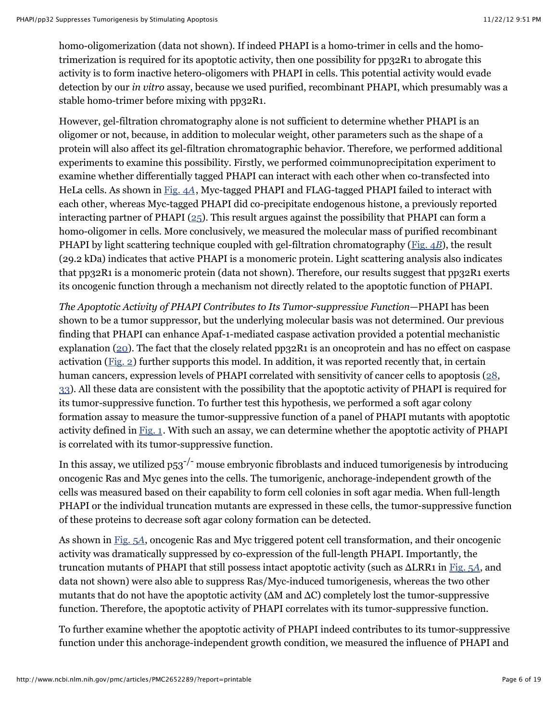homo-oligomerization (data not shown). If indeed PHAPI is a homo-trimer in cells and the homotrimerization is required for its apoptotic activity, then one possibility for pp32R1 to abrogate this activity is to form inactive hetero-oligomers with PHAPI in cells. This potential activity would evade detection by our *in vitro* assay, because we used purified, recombinant PHAPI, which presumably was a stable homo-trimer before mixing with pp32R1.

However, gel-filtration chromatography alone is not sufficient to determine whether PHAPI is an oligomer or not, because, in addition to molecular weight, other parameters such as the shape of a protein will also affect its gel-filtration chromatographic behavior. Therefore, we performed additional experiments to examine this possibility. Firstly, we performed coimmunoprecipitation experiment to examine whether differentially tagged PHAPI can interact with each other when co-transfected into HeLa cells. As shown in [Fig. 4](http://www.ncbi.nlm.nih.gov/pmc/articles/PMC2652289/figure/fig4/)*A*, Myc-tagged PHAPI and FLAG-tagged PHAPI failed to interact with each other, whereas Myc-tagged PHAPI did co-precipitate endogenous histone, a previously reported interacting partner of PHAPI ( $25$ ). This result argues against the possibility that PHAPI can form a homo-oligomer in cells. More conclusively, we measured the molecular mass of purified recombinant PHAPI by light scattering technique coupled with gel-filtration chromatography [\(Fig. 4](http://www.ncbi.nlm.nih.gov/pmc/articles/PMC2652289/figure/fig4/)*B*), the result (29.2 kDa) indicates that active PHAPI is a monomeric protein. Light scattering analysis also indicates that pp32R1 is a monomeric protein (data not shown). Therefore, our results suggest that pp32R1 exerts its oncogenic function through a mechanism not directly related to the apoptotic function of PHAPI.

*The Apoptotic Activity of PHAPI Contributes to Its Tumor-suppressive Function*—PHAPI has been shown to be a tumor suppressor, but the underlying molecular basis was not determined. Our previous finding that PHAPI can enhance Apaf-1-mediated caspase activation provided a potential mechanistic explanation ( $20$ ). The fact that the closely related pp32R1 is an oncoprotein and has no effect on caspase activation ([Fig. 2\)](http://www.ncbi.nlm.nih.gov/pmc/articles/PMC2652289/figure/fig2/) further supports this model. In addition, it was reported recently that, in certain human cancers, expression levels of PHAPI correlated with sensitivity of cancer cells to apoptosis ([28](http://www.ncbi.nlm.nih.gov/pubmed/17962813), [33\)](http://www.ncbi.nlm.nih.gov/pubmed/16489023). All these data are consistent with the possibility that the apoptotic activity of PHAPI is required for its tumor-suppressive function. To further test this hypothesis, we performed a soft agar colony formation assay to measure the tumor-suppressive function of a panel of PHAPI mutants with apoptotic activity defined in  $Fig. 1$ . With such an assay, we can determine whether the apoptotic activity of PHAPI is correlated with its tumor-suppressive function.

In this assay, we utilized p53<sup>-/-</sup> mouse embryonic fibroblasts and induced tumorigenesis by introducing oncogenic Ras and Myc genes into the cells. The tumorigenic, anchorage-independent growth of the cells was measured based on their capability to form cell colonies in soft agar media. When full-length PHAPI or the individual truncation mutants are expressed in these cells, the tumor-suppressive function of these proteins to decrease soft agar colony formation can be detected.

As shown in [Fig. 5](http://www.ncbi.nlm.nih.gov/pmc/articles/PMC2652289/figure/fig5/)*A*, oncogenic Ras and Myc triggered potent cell transformation, and their oncogenic activity was dramatically suppressed by co-expression of the full-length PHAPI. Importantly, the truncation mutants of PHAPI that still possess intact apoptotic activity (such as ΔLRR1 in [Fig. 5](http://www.ncbi.nlm.nih.gov/pmc/articles/PMC2652289/figure/fig5/)*A*, and data not shown) were also able to suppress Ras/Myc-induced tumorigenesis, whereas the two other mutants that do not have the apoptotic activity ( $\Delta M$  and  $\Delta C$ ) completely lost the tumor-suppressive function. Therefore, the apoptotic activity of PHAPI correlates with its tumor-suppressive function.

To further examine whether the apoptotic activity of PHAPI indeed contributes to its tumor-suppressive function under this anchorage-independent growth condition, we measured the influence of PHAPI and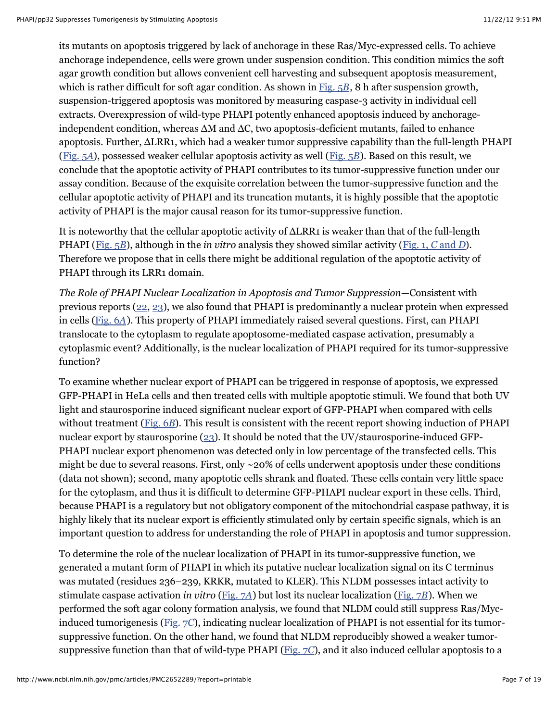its mutants on apoptosis triggered by lack of anchorage in these Ras/Myc-expressed cells. To achieve anchorage independence, cells were grown under suspension condition. This condition mimics the soft agar growth condition but allows convenient cell harvesting and subsequent apoptosis measurement, which is rather difficult for soft agar condition. As shown in [Fig. 5](http://www.ncbi.nlm.nih.gov/pmc/articles/PMC2652289/figure/fig5/)*B*, 8 h after suspension growth, suspension-triggered apoptosis was monitored by measuring caspase-3 activity in individual cell extracts. Overexpression of wild-type PHAPI potently enhanced apoptosis induced by anchorageindependent condition, whereas ΔM and ΔC, two apoptosis-deficient mutants, failed to enhance apoptosis. Further, ΔLRR1, which had a weaker tumor suppressive capability than the full-length PHAPI ([Fig. 5](http://www.ncbi.nlm.nih.gov/pmc/articles/PMC2652289/figure/fig5/)*A*), possessed weaker cellular apoptosis activity as well [\(Fig. 5](http://www.ncbi.nlm.nih.gov/pmc/articles/PMC2652289/figure/fig5/)*B*). Based on this result, we conclude that the apoptotic activity of PHAPI contributes to its tumor-suppressive function under our assay condition. Because of the exquisite correlation between the tumor-suppressive function and the cellular apoptotic activity of PHAPI and its truncation mutants, it is highly possible that the apoptotic activity of PHAPI is the major causal reason for its tumor-suppressive function.

It is noteworthy that the cellular apoptotic activity of ΔLRR1 is weaker than that of the full-length PHAPI ([Fig. 5](http://www.ncbi.nlm.nih.gov/pmc/articles/PMC2652289/figure/fig5/)*B*), although in the *in vitro* analysis they showed similar activity ([Fig. 1,](http://www.ncbi.nlm.nih.gov/pmc/articles/PMC2652289/figure/fig1/) *C* and *D*). Therefore we propose that in cells there might be additional regulation of the apoptotic activity of PHAPI through its LRR1 domain.

*The Role of PHAPI Nuclear Localization in Apoptosis and Tumor Suppression*—Consistent with previous reports [\(22,](http://www.ncbi.nlm.nih.gov/pubmed/8970164) [23](http://www.ncbi.nlm.nih.gov/pubmed/18180367)), we also found that PHAPI is predominantly a nuclear protein when expressed in cells [\(Fig. 6](http://www.ncbi.nlm.nih.gov/pmc/articles/PMC2652289/figure/fig6/)*A*). This property of PHAPI immediately raised several questions. First, can PHAPI translocate to the cytoplasm to regulate apoptosome-mediated caspase activation, presumably a cytoplasmic event? Additionally, is the nuclear localization of PHAPI required for its tumor-suppressive function?

To examine whether nuclear export of PHAPI can be triggered in response of apoptosis, we expressed GFP-PHAPI in HeLa cells and then treated cells with multiple apoptotic stimuli. We found that both UV light and staurosporine induced significant nuclear export of GFP-PHAPI when compared with cells without treatment [\(Fig. 6](http://www.ncbi.nlm.nih.gov/pmc/articles/PMC2652289/figure/fig6/)*B*). This result is consistent with the recent report showing induction of PHAPI nuclear export by staurosporine [\(23](http://www.ncbi.nlm.nih.gov/pubmed/18180367)). It should be noted that the UV/staurosporine-induced GFP-PHAPI nuclear export phenomenon was detected only in low percentage of the transfected cells. This might be due to several reasons. First, only ~20% of cells underwent apoptosis under these conditions (data not shown); second, many apoptotic cells shrank and floated. These cells contain very little space for the cytoplasm, and thus it is difficult to determine GFP-PHAPI nuclear export in these cells. Third, because PHAPI is a regulatory but not obligatory component of the mitochondrial caspase pathway, it is highly likely that its nuclear export is efficiently stimulated only by certain specific signals, which is an important question to address for understanding the role of PHAPI in apoptosis and tumor suppression.

To determine the role of the nuclear localization of PHAPI in its tumor-suppressive function, we generated a mutant form of PHAPI in which its putative nuclear localization signal on its C terminus was mutated (residues 236–239, KRKR, mutated to KLER). This NLDM possesses intact activity to stimulate caspase activation *in vitro* [\(Fig. 7](http://www.ncbi.nlm.nih.gov/pmc/articles/PMC2652289/figure/fig7/)*A*) but lost its nuclear localization [\(Fig. 7](http://www.ncbi.nlm.nih.gov/pmc/articles/PMC2652289/figure/fig7/)*B*). When we performed the soft agar colony formation analysis, we found that NLDM could still suppress Ras/Mycinduced tumorigenesis [\(Fig. 7](http://www.ncbi.nlm.nih.gov/pmc/articles/PMC2652289/figure/fig7/)*C*), indicating nuclear localization of PHAPI is not essential for its tumorsuppressive function. On the other hand, we found that NLDM reproducibly showed a weaker tumorsuppressive function than that of wild-type PHAPI ([Fig. 7](http://www.ncbi.nlm.nih.gov/pmc/articles/PMC2652289/figure/fig7/)*C*), and it also induced cellular apoptosis to a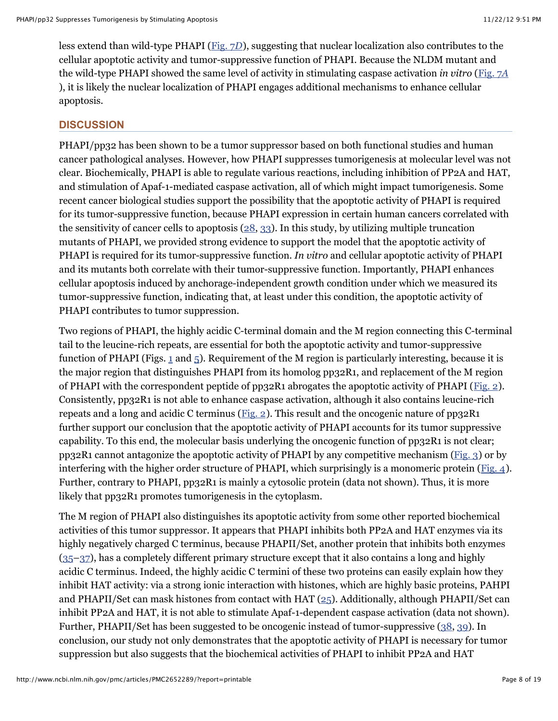less extend than wild-type PHAPI ([Fig. 7](http://www.ncbi.nlm.nih.gov/pmc/articles/PMC2652289/figure/fig7/)*D*), suggesting that nuclear localization also contributes to the cellular apoptotic activity and tumor-suppressive function of PHAPI. Because the NLDM mutant and the wild-type PHAPI showed the same level of activity in stimulating caspase activation *in vitro* ([Fig. 7](http://www.ncbi.nlm.nih.gov/pmc/articles/PMC2652289/figure/fig7/)*A* ), it is likely the nuclear localization of PHAPI engages additional mechanisms to enhance cellular apoptosis.

## **DISCUSSION**

PHAPI/pp32 has been shown to be a tumor suppressor based on both functional studies and human cancer pathological analyses. However, how PHAPI suppresses tumorigenesis at molecular level was not clear. Biochemically, PHAPI is able to regulate various reactions, including inhibition of PP2A and HAT, and stimulation of Apaf-1-mediated caspase activation, all of which might impact tumorigenesis. Some recent cancer biological studies support the possibility that the apoptotic activity of PHAPI is required for its tumor-suppressive function, because PHAPI expression in certain human cancers correlated with the sensitivity of cancer cells to apoptosis [\(28,](http://www.ncbi.nlm.nih.gov/pubmed/17962813) [33\)](http://www.ncbi.nlm.nih.gov/pubmed/16489023). In this study, by utilizing multiple truncation mutants of PHAPI, we provided strong evidence to support the model that the apoptotic activity of PHAPI is required for its tumor-suppressive function. *In vitro* and cellular apoptotic activity of PHAPI and its mutants both correlate with their tumor-suppressive function. Importantly, PHAPI enhances cellular apoptosis induced by anchorage-independent growth condition under which we measured its tumor-suppressive function, indicating that, at least under this condition, the apoptotic activity of PHAPI contributes to tumor suppression.

Two regions of PHAPI, the highly acidic C-terminal domain and the M region connecting this C-terminal tail to the leucine-rich repeats, are essential for both the apoptotic activity and tumor-suppressive function of PHAPI (Figs. [1](http://www.ncbi.nlm.nih.gov/pmc/articles/PMC2652289/figure/fig1/) and  $\overline{5}$ ). Requirement of the M region is particularly interesting, because it is the major region that distinguishes PHAPI from its homolog pp32R1, and replacement of the M region of PHAPI with the correspondent peptide of pp32R1 abrogates the apoptotic activity of PHAPI ([Fig. 2\)](http://www.ncbi.nlm.nih.gov/pmc/articles/PMC2652289/figure/fig2/). Consistently, pp32R1 is not able to enhance caspase activation, although it also contains leucine-rich repeats and a long and acidic C terminus ([Fig. 2](http://www.ncbi.nlm.nih.gov/pmc/articles/PMC2652289/figure/fig2/)). This result and the oncogenic nature of  $pp32R1$ further support our conclusion that the apoptotic activity of PHAPI accounts for its tumor suppressive capability. To this end, the molecular basis underlying the oncogenic function of pp32R1 is not clear; pp32R1 cannot antagonize the apoptotic activity of PHAPI by any competitive mechanism [\(Fig. 3](http://www.ncbi.nlm.nih.gov/pmc/articles/PMC2652289/figure/fig3/)) or by interfering with the higher order structure of PHAPI, which surprisingly is a monomeric protein ( $Fig. 4$ ). Further, contrary to PHAPI, pp32R1 is mainly a cytosolic protein (data not shown). Thus, it is more likely that pp32R1 promotes tumorigenesis in the cytoplasm.

The M region of PHAPI also distinguishes its apoptotic activity from some other reported biochemical activities of this tumor suppressor. It appears that PHAPI inhibits both PP2A and HAT enzymes via its highly negatively charged C terminus, because PHAPII/Set, another protein that inhibits both enzymes [\(35–](http://www.ncbi.nlm.nih.gov/pubmed/8192856)[37\)](http://www.ncbi.nlm.nih.gov/pubmed/11163245), has a completely different primary structure except that it also contains a long and highly acidic C terminus. Indeed, the highly acidic C termini of these two proteins can easily explain how they inhibit HAT activity: via a strong ionic interaction with histones, which are highly basic proteins, PAHPI and PHAPII/Set can mask histones from contact with HAT  $(25)$ . Additionally, although PHAPII/Set can inhibit PP2A and HAT, it is not able to stimulate Apaf-1-dependent caspase activation (data not shown). Further, PHAPII/Set has been suggested to be oncogenic instead of tumor-suppressive [\(38,](http://www.ncbi.nlm.nih.gov/pubmed/9353299) [39\)](http://www.ncbi.nlm.nih.gov/pubmed/15703833). In conclusion, our study not only demonstrates that the apoptotic activity of PHAPI is necessary for tumor suppression but also suggests that the biochemical activities of PHAPI to inhibit PP2A and HAT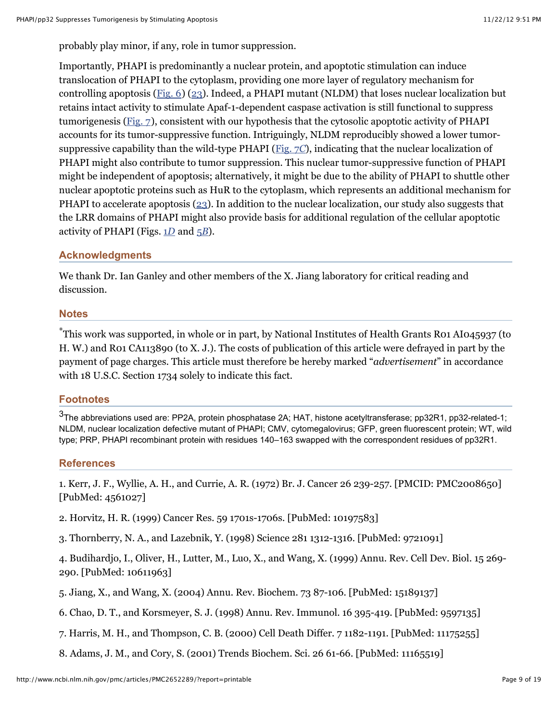probably play minor, if any, role in tumor suppression.

Importantly, PHAPI is predominantly a nuclear protein, and apoptotic stimulation can induce translocation of PHAPI to the cytoplasm, providing one more layer of regulatory mechanism for controlling apoptosis [\(Fig. 6](http://www.ncbi.nlm.nih.gov/pmc/articles/PMC2652289/figure/fig6/)) [\(23](http://www.ncbi.nlm.nih.gov/pubmed/18180367)). Indeed, a PHAPI mutant (NLDM) that loses nuclear localization but retains intact activity to stimulate Apaf-1-dependent caspase activation is still functional to suppress tumorigenesis [\(Fig. 7\)](http://www.ncbi.nlm.nih.gov/pmc/articles/PMC2652289/figure/fig7/), consistent with our hypothesis that the cytosolic apoptotic activity of PHAPI accounts for its tumor-suppressive function. Intriguingly, NLDM reproducibly showed a lower tumorsuppressive capability than the wild-type PHAPI [\(Fig. 7](http://www.ncbi.nlm.nih.gov/pmc/articles/PMC2652289/figure/fig7/)*C*), indicating that the nuclear localization of PHAPI might also contribute to tumor suppression. This nuclear tumor-suppressive function of PHAPI might be independent of apoptosis; alternatively, it might be due to the ability of PHAPI to shuttle other nuclear apoptotic proteins such as HuR to the cytoplasm, which represents an additional mechanism for PHAPI to accelerate apoptosis [\(23\)](http://www.ncbi.nlm.nih.gov/pubmed/18180367). In addition to the nuclear localization, our study also suggests that the LRR domains of PHAPI might also provide basis for additional regulation of the cellular apoptotic activity of PHAPI (Figs. 1*[D](http://www.ncbi.nlm.nih.gov/pmc/articles/PMC2652289/figure/fig1/)* and 5*[B](http://www.ncbi.nlm.nih.gov/pmc/articles/PMC2652289/figure/fig5/)*).

# **Acknowledgments**

We thank Dr. Ian Ganley and other members of the X. Jiang laboratory for critical reading and discussion.

## **Notes**

 $\displaystyle{1\over}$ This work was supported, in whole or in part, by National Institutes of Health Grants R01 AI045937 (to H. W.) and R01 CA113890 (to X. J.). The costs of publication of this article were defrayed in part by the payment of page charges. This article must therefore be hereby marked "*advertisement*" in accordance with 18 U.S.C. Section 1734 solely to indicate this fact.

# **Footnotes**

 $3$ The abbreviations used are: PP2A, protein phosphatase 2A; HAT, histone acetyltransferase; pp32R1, pp32-related-1; NLDM, nuclear localization defective mutant of PHAPI; CMV, cytomegalovirus; GFP, green fluorescent protein; WT, wild type; PRP, PHAPI recombinant protein with residues 140–163 swapped with the correspondent residues of pp32R1.

# **References**

1. Kerr, J. F., Wyllie, A. H., and Currie, A. R. (1972) Br. J. Cancer 26 239-257. [PMCID: PMC2008650] [PubMed: 4561027]

2. Horvitz, H. R. (1999) Cancer Res. 59 1701s-1706s. [PubMed: 10197583]

3. Thornberry, N. A., and Lazebnik, Y. (1998) Science 281 1312-1316. [PubMed: 9721091]

4. Budihardjo, I., Oliver, H., Lutter, M., Luo, X., and Wang, X. (1999) Annu. Rev. Cell Dev. Biol. 15 269- 290. [PubMed: 10611963]

5. Jiang, X., and Wang, X. (2004) Annu. Rev. Biochem. 73 87-106. [PubMed: 15189137]

6. Chao, D. T., and Korsmeyer, S. J. (1998) Annu. Rev. Immunol. 16 395-419. [PubMed: 9597135]

7. Harris, M. H., and Thompson, C. B. (2000) Cell Death Differ. 7 1182-1191. [PubMed: 11175255]

8. Adams, J. M., and Cory, S. (2001) Trends Biochem. Sci. 26 61-66. [PubMed: 11165519]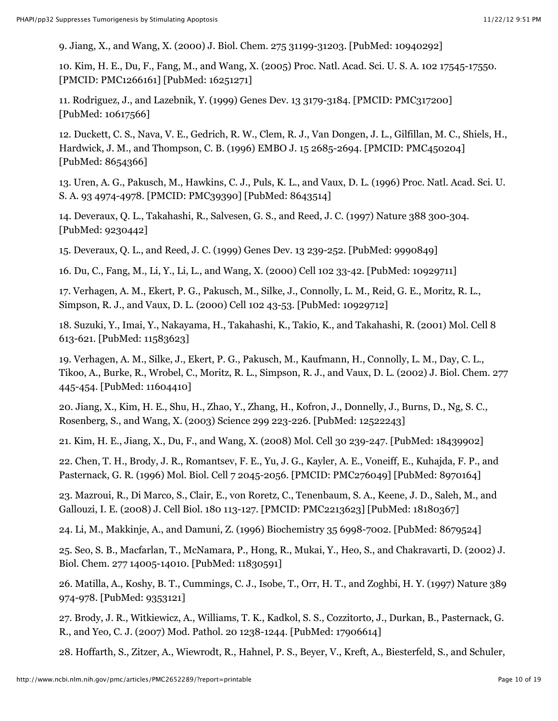9. Jiang, X., and Wang, X. (2000) J. Biol. Chem. 275 31199-31203. [PubMed: 10940292]

10. Kim, H. E., Du, F., Fang, M., and Wang, X. (2005) Proc. Natl. Acad. Sci. U. S. A. 102 17545-17550. [PMCID: PMC1266161] [PubMed: 16251271]

11. Rodriguez, J., and Lazebnik, Y. (1999) Genes Dev. 13 3179-3184. [PMCID: PMC317200] [PubMed: 10617566]

12. Duckett, C. S., Nava, V. E., Gedrich, R. W., Clem, R. J., Van Dongen, J. L., Gilfillan, M. C., Shiels, H., Hardwick, J. M., and Thompson, C. B. (1996) EMBO J. 15 2685-2694. [PMCID: PMC450204] [PubMed: 8654366]

13. Uren, A. G., Pakusch, M., Hawkins, C. J., Puls, K. L., and Vaux, D. L. (1996) Proc. Natl. Acad. Sci. U. S. A. 93 4974-4978. [PMCID: PMC39390] [PubMed: 8643514]

14. Deveraux, Q. L., Takahashi, R., Salvesen, G. S., and Reed, J. C. (1997) Nature 388 300-304. [PubMed: 9230442]

15. Deveraux, Q. L., and Reed, J. C. (1999) Genes Dev. 13 239-252. [PubMed: 9990849]

16. Du, C., Fang, M., Li, Y., Li, L., and Wang, X. (2000) Cell 102 33-42. [PubMed: 10929711]

17. Verhagen, A. M., Ekert, P. G., Pakusch, M., Silke, J., Connolly, L. M., Reid, G. E., Moritz, R. L., Simpson, R. J., and Vaux, D. L. (2000) Cell 102 43-53. [PubMed: 10929712]

18. Suzuki, Y., Imai, Y., Nakayama, H., Takahashi, K., Takio, K., and Takahashi, R. (2001) Mol. Cell 8 613-621. [PubMed: 11583623]

19. Verhagen, A. M., Silke, J., Ekert, P. G., Pakusch, M., Kaufmann, H., Connolly, L. M., Day, C. L., Tikoo, A., Burke, R., Wrobel, C., Moritz, R. L., Simpson, R. J., and Vaux, D. L. (2002) J. Biol. Chem. 277 445-454. [PubMed: 11604410]

20. Jiang, X., Kim, H. E., Shu, H., Zhao, Y., Zhang, H., Kofron, J., Donnelly, J., Burns, D., Ng, S. C., Rosenberg, S., and Wang, X. (2003) Science 299 223-226. [PubMed: 12522243]

21. Kim, H. E., Jiang, X., Du, F., and Wang, X. (2008) Mol. Cell 30 239-247. [PubMed: 18439902]

22. Chen, T. H., Brody, J. R., Romantsev, F. E., Yu, J. G., Kayler, A. E., Voneiff, E., Kuhajda, F. P., and Pasternack, G. R. (1996) Mol. Biol. Cell 7 2045-2056. [PMCID: PMC276049] [PubMed: 8970164]

23. Mazroui, R., Di Marco, S., Clair, E., von Roretz, C., Tenenbaum, S. A., Keene, J. D., Saleh, M., and Gallouzi, I. E. (2008) J. Cell Biol. 180 113-127. [PMCID: PMC2213623] [PubMed: 18180367]

24. Li, M., Makkinje, A., and Damuni, Z. (1996) Biochemistry 35 6998-7002. [PubMed: 8679524]

25. Seo, S. B., Macfarlan, T., McNamara, P., Hong, R., Mukai, Y., Heo, S., and Chakravarti, D. (2002) J. Biol. Chem. 277 14005-14010. [PubMed: 11830591]

26. Matilla, A., Koshy, B. T., Cummings, C. J., Isobe, T., Orr, H. T., and Zoghbi, H. Y. (1997) Nature 389 974-978. [PubMed: 9353121]

27. Brody, J. R., Witkiewicz, A., Williams, T. K., Kadkol, S. S., Cozzitorto, J., Durkan, B., Pasternack, G. R., and Yeo, C. J. (2007) Mod. Pathol. 20 1238-1244. [PubMed: 17906614]

28. Hoffarth, S., Zitzer, A., Wiewrodt, R., Hahnel, P. S., Beyer, V., Kreft, A., Biesterfeld, S., and Schuler,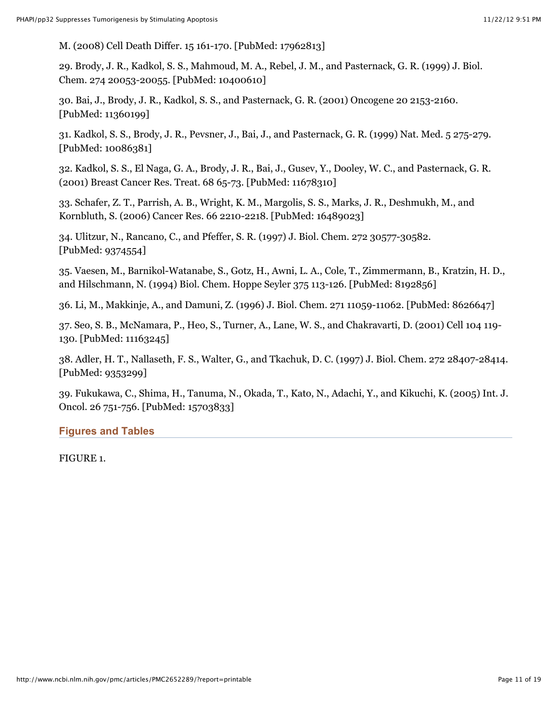M. (2008) Cell Death Differ. 15 161-170. [PubMed: 17962813]

29. Brody, J. R., Kadkol, S. S., Mahmoud, M. A., Rebel, J. M., and Pasternack, G. R. (1999) J. Biol. Chem. 274 20053-20055. [PubMed: 10400610]

30. Bai, J., Brody, J. R., Kadkol, S. S., and Pasternack, G. R. (2001) Oncogene 20 2153-2160. [PubMed: 11360199]

31. Kadkol, S. S., Brody, J. R., Pevsner, J., Bai, J., and Pasternack, G. R. (1999) Nat. Med. 5 275-279. [PubMed: 10086381]

32. Kadkol, S. S., El Naga, G. A., Brody, J. R., Bai, J., Gusev, Y., Dooley, W. C., and Pasternack, G. R. (2001) Breast Cancer Res. Treat. 68 65-73. [PubMed: 11678310]

33. Schafer, Z. T., Parrish, A. B., Wright, K. M., Margolis, S. S., Marks, J. R., Deshmukh, M., and Kornbluth, S. (2006) Cancer Res. 66 2210-2218. [PubMed: 16489023]

34. Ulitzur, N., Rancano, C., and Pfeffer, S. R. (1997) J. Biol. Chem. 272 30577-30582. [PubMed: 9374554]

35. Vaesen, M., Barnikol-Watanabe, S., Gotz, H., Awni, L. A., Cole, T., Zimmermann, B., Kratzin, H. D., and Hilschmann, N. (1994) Biol. Chem. Hoppe Seyler 375 113-126. [PubMed: 8192856]

36. Li, M., Makkinje, A., and Damuni, Z. (1996) J. Biol. Chem. 271 11059-11062. [PubMed: 8626647]

37. Seo, S. B., McNamara, P., Heo, S., Turner, A., Lane, W. S., and Chakravarti, D. (2001) Cell 104 119- 130. [PubMed: 11163245]

38. Adler, H. T., Nallaseth, F. S., Walter, G., and Tkachuk, D. C. (1997) J. Biol. Chem. 272 28407-28414. [PubMed: 9353299]

39. Fukukawa, C., Shima, H., Tanuma, N., Okada, T., Kato, N., Adachi, Y., and Kikuchi, K. (2005) Int. J. Oncol. 26 751-756. [PubMed: 15703833]

# **Figures and Tables**

FIGURE 1.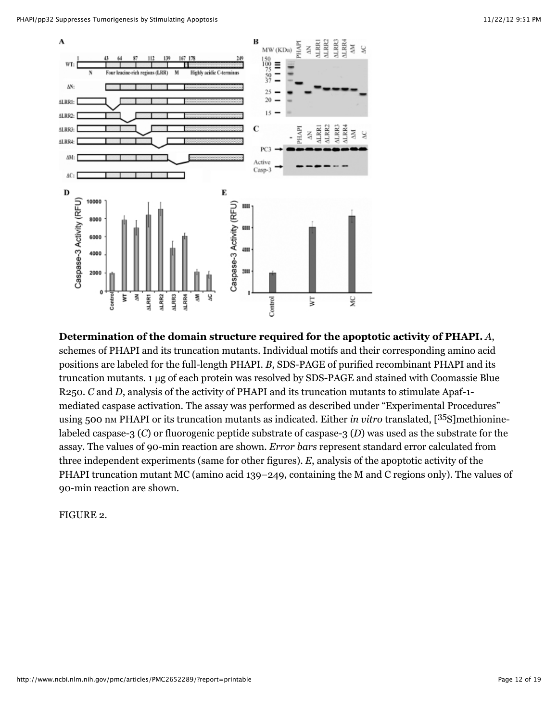

**Determination of the domain structure required for the apoptotic activity of PHAPI.** *A*, schemes of PHAPI and its truncation mutants. Individual motifs and their corresponding amino acid positions are labeled for the full-length PHAPI. *B*, SDS-PAGE of purified recombinant PHAPI and its truncation mutants. 1 µg of each protein was resolved by SDS-PAGE and stained with Coomassie Blue R250. *C* and *D*, analysis of the activity of PHAPI and its truncation mutants to stimulate Apaf-1 mediated caspase activation. The assay was performed as described under "Experimental Procedures" using 500 nm PHAPI or its truncation mutants as indicated. Either *in vitro* translated, [<sup>35</sup>S]methioninelabeled caspase-3 (*C*) or fluorogenic peptide substrate of caspase-3 (*D*) was used as the substrate for the assay. The values of 90-min reaction are shown. *Error bars* represent standard error calculated from three independent experiments (same for other figures). *E*, analysis of the apoptotic activity of the PHAPI truncation mutant MC (amino acid 139–249, containing the M and C regions only). The values of 90-min reaction are shown.

FIGURE 2.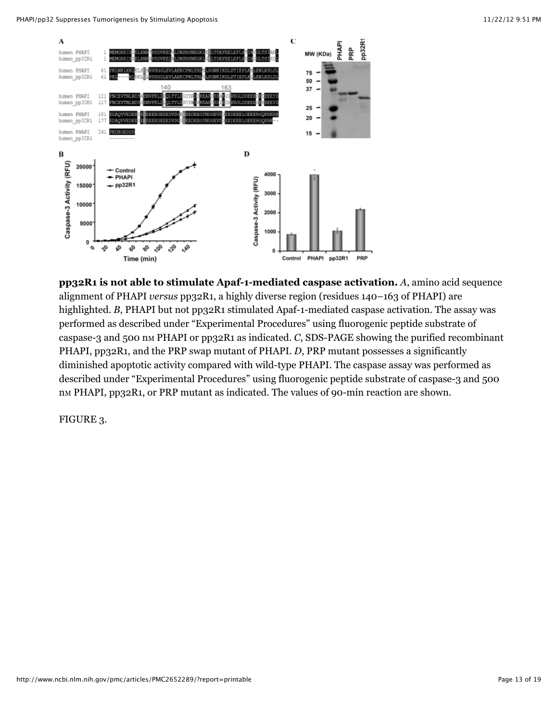

**pp32R1 is not able to stimulate Apaf-1-mediated caspase activation.** *A*, amino acid sequence alignment of PHAPI *versus* pp32R1, a highly diverse region (residues 140–163 of PHAPI) are highlighted. *B*, PHAPI but not pp32R1 stimulated Apaf-1-mediated caspase activation. The assay was performed as described under "Experimental Procedures" using fluorogenic peptide substrate of caspase-3 and 500 nm PHAPI or pp32R1 as indicated. *C*, SDS-PAGE showing the purified recombinant PHAPI, pp32R1, and the PRP swap mutant of PHAPI. *D*, PRP mutant possesses a significantly diminished apoptotic activity compared with wild-type PHAPI. The caspase assay was performed as described under "Experimental Procedures" using fluorogenic peptide substrate of caspase-3 and 500 nm PHAPI, pp32R1, or PRP mutant as indicated. The values of 90-min reaction are shown.

FIGURE 3.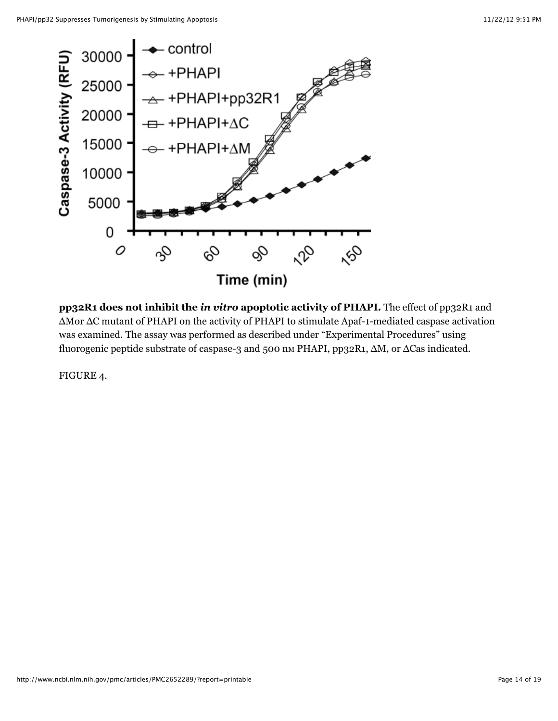

**pp32R1 does not inhibit the** *in vitro* **apoptotic activity of PHAPI.** The effect of pp32R1 and ΔMor ΔC mutant of PHAPI on the activity of PHAPI to stimulate Apaf-1-mediated caspase activation was examined. The assay was performed as described under "Experimental Procedures" using fluorogenic peptide substrate of caspase-3 and 500 nm PHAPI, pp32R1, ΔM, or ΔCas indicated.

FIGURE 4.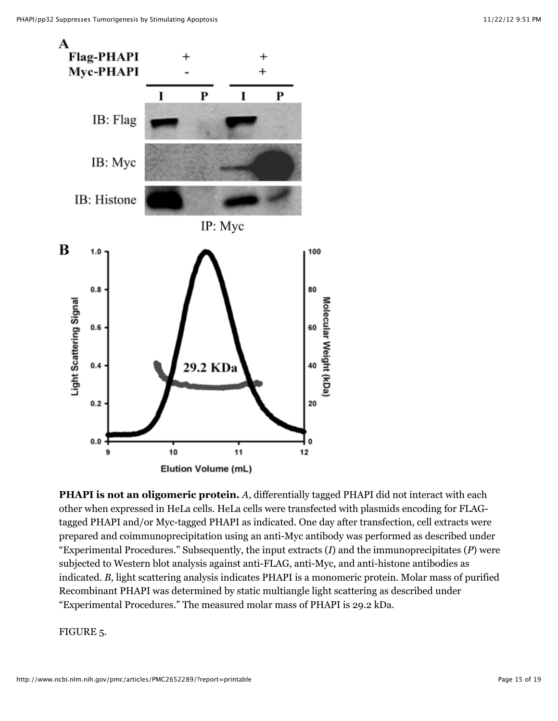

**PHAPI is not an oligomeric protein.** *A*, differentially tagged PHAPI did not interact with each other when expressed in HeLa cells. HeLa cells were transfected with plasmids encoding for FLAGtagged PHAPI and/or Myc-tagged PHAPI as indicated. One day after transfection, cell extracts were prepared and coimmunoprecipitation using an anti-Myc antibody was performed as described under "Experimental Procedures." Subsequently, the input extracts (*I*) and the immunoprecipitates (*P*) were subjected to Western blot analysis against anti-FLAG, anti-Myc, and anti-histone antibodies as indicated. *B*, light scattering analysis indicates PHAPI is a monomeric protein. Molar mass of purified Recombinant PHAPI was determined by static multiangle light scattering as described under "Experimental Procedures." The measured molar mass of PHAPI is 29.2 kDa.

FIGURE 5.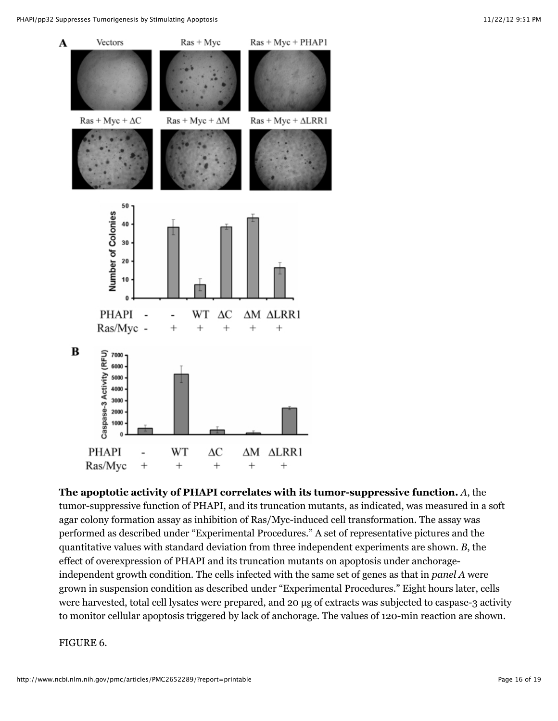

**The apoptotic activity of PHAPI correlates with its tumor-suppressive function.** *A*, the tumor-suppressive function of PHAPI, and its truncation mutants, as indicated, was measured in a soft agar colony formation assay as inhibition of Ras/Myc-induced cell transformation. The assay was performed as described under "Experimental Procedures." A set of representative pictures and the quantitative values with standard deviation from three independent experiments are shown. *B*, the effect of overexpression of PHAPI and its truncation mutants on apoptosis under anchorageindependent growth condition. The cells infected with the same set of genes as that in *panel A* were grown in suspension condition as described under "Experimental Procedures." Eight hours later, cells were harvested, total cell lysates were prepared, and 20 µg of extracts was subjected to caspase-3 activity to monitor cellular apoptosis triggered by lack of anchorage. The values of 120-min reaction are shown.

### FIGURE 6.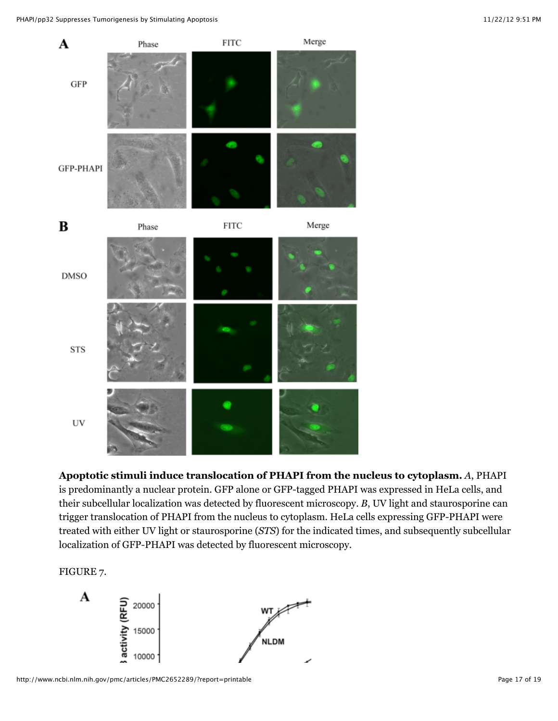PHAPI/pp32 Suppresses Tumorigenesis by Stimulating Apoptosis 11/22/12 9:51 PM



**Apoptotic stimuli induce translocation of PHAPI from the nucleus to cytoplasm.** *A*, PHAPI is predominantly a nuclear protein. GFP alone or GFP-tagged PHAPI was expressed in HeLa cells, and their subcellular localization was detected by fluorescent microscopy. *B*, UV light and staurosporine can trigger translocation of PHAPI from the nucleus to cytoplasm. HeLa cells expressing GFP-PHAPI were treated with either UV light or staurosporine (*STS*) for the indicated times, and subsequently subcellular localization of GFP-PHAPI was detected by fluorescent microscopy.

FIGURE 7.

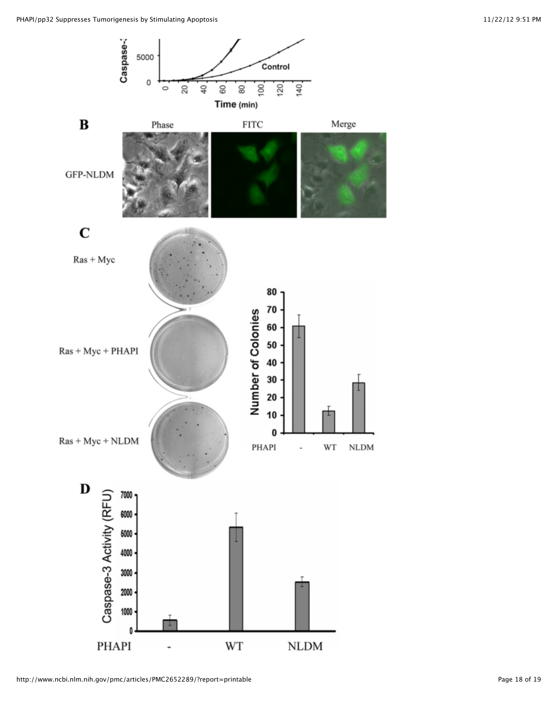